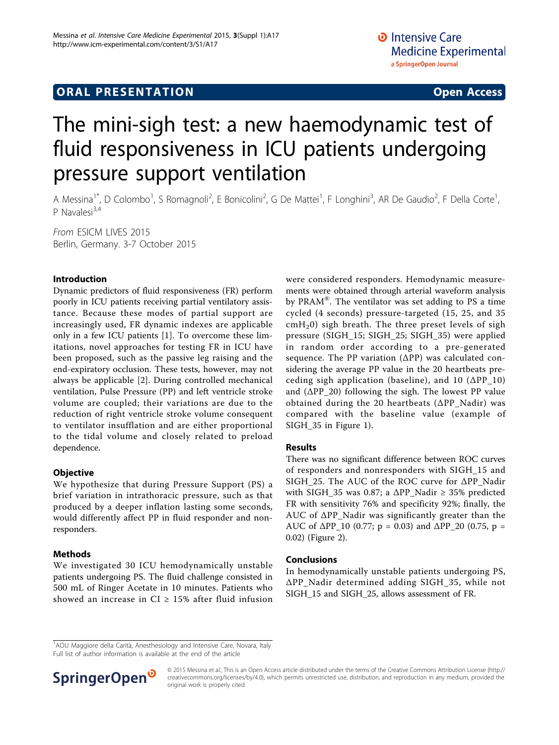# **ORAL PRESENTATION CONSUMING ACCESS**

# The mini-sigh test: a new haemodynamic test of fluid responsiveness in ICU patients undergoing pressure support ventilation

A Messina<sup>1\*</sup>, D Colombo<sup>1</sup>, S Romagnoli<sup>2</sup>, E Bonicolini<sup>2</sup>, G De Mattei<sup>1</sup>, F Longhini<sup>3</sup>, AR De Gaudio<sup>2</sup>, F Della Corte<sup>1</sup> , P Navalesi<sup>3,4</sup>

From ESICM LIVES 2015 Berlin, Germany. 3-7 October 2015

## Introduction

Dynamic predictors of fluid responsiveness (FR) perform poorly in ICU patients receiving partial ventilatory assistance. Because these modes of partial support are increasingly used, FR dynamic indexes are applicable only in a few ICU patients [\[1](#page-1-0)]. To overcome these limitations, novel approaches for testing FR in ICU have been proposed, such as the passive leg raising and the end-expiratory occlusion. These tests, however, may not always be applicable [[2\]](#page-1-0). During controlled mechanical ventilation, Pulse Pressure (PP) and left ventricle stroke volume are coupled; their variations are due to the reduction of right ventricle stroke volume consequent to ventilator insufflation and are either proportional to the tidal volume and closely related to preload dependence.

#### **Objective**

We hypothesize that during Pressure Support (PS) a brief variation in intrathoracic pressure, such as that produced by a deeper inflation lasting some seconds, would differently affect PP in fluid responder and nonresponders.

#### Methods

We investigated 30 ICU hemodynamically unstable patients undergoing PS. The fluid challenge consisted in 500 mL of Ringer Acetate in 10 minutes. Patients who showed an increase in CI  $\geq$  15% after fluid infusion were considered responders. Hemodynamic measurements were obtained through arterial waveform analysis by PRAM®. The ventilator was set adding to PS a time cycled (4 seconds) pressure-targeted (15, 25, and 35  $cmH<sub>2</sub>0$ ) sigh breath. The three preset levels of sigh pressure (SIGH\_15; SIGH\_25; SIGH\_35) were applied in random order according to a pre-generated sequence. The PP variation (ΔPP) was calculated considering the average PP value in the 20 heartbeats preceding sigh application (baseline), and 10 (ΔPP\_10) and  $(\Delta PP_20)$  following the sigh. The lowest PP value obtained during the 20 heartbeats (ΔPP\_Nadir) was compared with the baseline value (example of SIGH\_35 in Figure [1](#page-1-0)).

### Results

There was no significant difference between ROC curves of responders and nonresponders with SIGH\_15 and SIGH\_25. The AUC of the ROC curve for ΔPP\_Nadir with SIGH\_35 was 0.87; a  $\Delta PP\$ Nadir  $\geq$  35% predicted FR with sensitivity 76% and specificity 92%; finally, the AUC of ΔPP\_Nadir was significantly greater than the AUC of  $\Delta PP_10$  (0.77; p = 0.03) and  $\Delta PP_20$  (0.75, p = 0.02) (Figure [2\)](#page-1-0).

## Conclusions

In hemodynamically unstable patients undergoing PS, ΔPP\_Nadir determined adding SIGH\_35, while not SIGH\_15 and SIGH\_25, allows assessment of FR.

<sup>1</sup>AOU Maggiore della Carità, Anesthesiology and Intensive Care, Novara, Italy Full list of author information is available at the end of the article



© 2015 Messina et al.; This is an Open Access article distributed under the terms of the Creative Commons Attribution License [\(http://](http://creativecommons.org/licenses/by/4.0) [creativecommons.org/licenses/by/4.0](http://creativecommons.org/licenses/by/4.0)), which permits unrestricted use, distribution, and reproduction in any medium, provided the original work is properly cited.